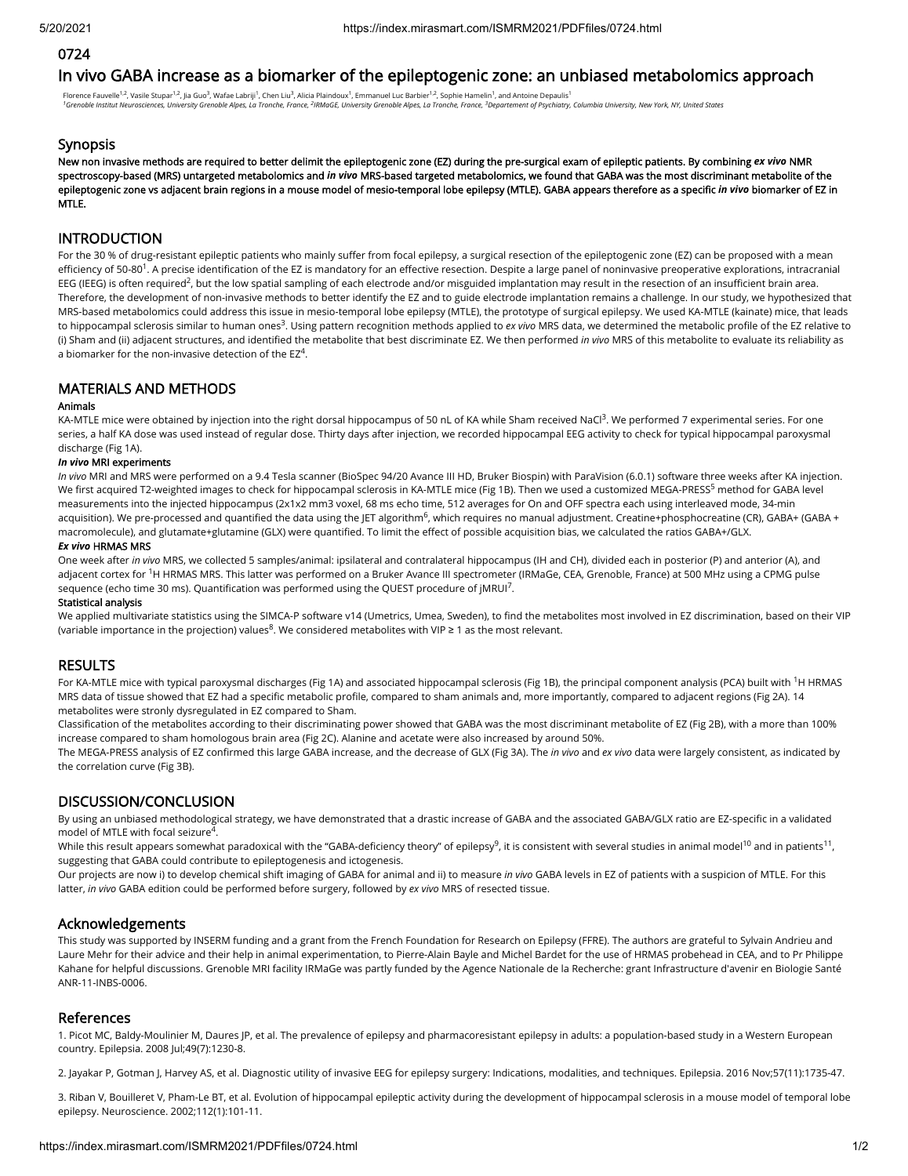# 0724

# In vivo GABA increase as a biomarker of the epileptogenic zone: an unbiased metabolomics approach

Florence Fauvelle<sup>1,2</sup>, Vasile Stupar<sup>1,2</sup>, Jia Guo<sup>3</sup>, Wafae Labriji<sup>1</sup>, Chen Liu<sup>3</sup>, Alicia Plaindoux<sup>1</sup>, Emmanuel Luc Barbier<sup>1,2</sup>, Sophie Hamelin<sup>1</sup>, and Antoine Depaulis<sup>1</sup> <sup>1</sup>Grenoble Institut Neurosciences, University Grenoble Alpes, La Tronche, France, <sup>2</sup>IRMaGE, University Grenoble Alpes, La Tronche, France, <sup>3</sup>Departement of Psychiatry, Columbia University, New York, NY, United States

## **Synopsis**

New non invasive methods are required to better delimit the epileptogenic zone (EZ) during the pre-surgical exam of epileptic patients. By combining *ex vivo* NMR spectroscopy-based (MRS) untargeted metabolomics and *in vivo* MRS-based targeted metabolomics, we found that GABA was the most discriminant metabolite of the epileptogenic zone vs adjacent brain regions in a mouse model of mesio-temporal lobe epilepsy (MTLE). GABA appears therefore as a specific *in vivo* biomarker of EZ in MTLE.

# **INTRODUCTION**

For the 30 % of drug-resistant epileptic patients who mainly suffer from focal epilepsy, a surgical resection of the epileptogenic zone (EZ) can be proposed with a mean efficiency of 50-80<sup>1</sup>. A precise identification of the EZ is mandatory for an effective resection. Despite a large panel of noninvasive preoperative explorations, intracranial EEG (IEEG) is often required<sup>2</sup>, but the low spatial sampling of each electrode and/or misguided implantation may result in the resection of an insufficient brain area. Therefore, the development of non-invasive methods to better identify the EZ and to guide electrode implantation remains a challenge. In our study, we hypothesized that MRS-based metabolomics could address this issue in mesio-temporal lobe epilepsy (MTLE), the prototype of surgical epilepsy. We used KA-MTLE (kainate) mice, that leads to hippocampal sclerosis similar to human ones<sup>3</sup>. Using pattern recognition methods applied to *ex vivo* MRS data, we determined the metabolic profile of the EZ relative to (i) Sham and (ii) adjacent structures, and identified the metabolite that best discriminate EZ. We then performed *in vivo* MRS of this metabolite to evaluate its reliability as a biomarker for the non-invasive detection of the EZ<sup>4</sup>.

# MATERIALS AND METHODS

#### Animals

KA-MTLE mice were obtained by injection into the right dorsal hippocampus of 50 nL of KA while Sham received NaCl<sup>3</sup>. We performed 7 experimental series. For one series, a half KA dose was used instead of regular dose. Thirty days after injection, we recorded hippocampal EEG activity to check for typical hippocampal paroxysmal discharge (Fig 1A).

#### *In vivo* MRI experiments

*In vivo* MRI and MRS were performed on a 9.4 Tesla scanner (BioSpec 94/20 Avance III HD, Bruker Biospin) with ParaVision (6.0.1) software three weeks after KA injection. We first acquired T2-weighted images to check for hippocampal sclerosis in KA-MTLE mice (Fig 1B). Then we used a customized MEGA-PRESS<sup>5</sup> method for GABA level measurements into the injected hippocampus (2x1x2 mm3 voxel, 68 ms echo time, 512 averages for On and OFF spectra each using interleaved mode, 34-min acquisition). We pre-processed and quantified the data using the JET algorithm<sup>6</sup>, which requires no manual adjustment. Creatine+phosphocreatine (CR), GABA+ (GABA + macromolecule), and glutamate+glutamine (GLX) were quantified. To limit the effect of possible acquisition bias, we calculated the ratios GABA+/GLX.

## *Ex vivo* HRMAS MRS

One week after *in vivo* MRS, we collected 5 samples/animal: ipsilateral and contralateral hippocampus (IH and CH), divided each in posterior (P) and anterior (A), and adjacent cortex for <sup>1</sup>H HRMAS MRS. This latter was performed on a Bruker Avance III spectrometer (IRMaGe, CEA, Grenoble, France) at 500 MHz using a CPMG pulse sequence (echo time 30 ms). Quantification was performed using the QUEST procedure of  $|MRUI^7|$ .

#### Statistical analysis

We applied multivariate statistics using the SIMCA-P software v14 (Umetrics, Umea, Sweden), to find the metabolites most involved in EZ discrimination, based on their VIP (variable importance in the projection) values<sup>8</sup>. We considered metabolites with VIP ≥ 1 as the most relevant.

## **RESULTS**

For KA-MTLE mice with typical paroxysmal discharges (Fig 1A) and associated hippocampal sclerosis (Fig 1B), the principal component analysis (PCA) built with <sup>1</sup>H HRMAS MRS data of tissue showed that EZ had a specific metabolic profile, compared to sham animals and, more importantly, compared to adjacent regions (Fig 2A). 14 metabolites were stronly dysregulated in EZ compared to Sham.

Classification of the metabolites according to their discriminating power showed that GABA was the most discriminant metabolite of EZ (Fig 2B), with a more than 100% increase compared to sham homologous brain area (Fig 2C). Alanine and acetate were also increased by around 50%.

The MEGA-PRESS analysis of EZ confirmed this large GABA increase, and the decrease of GLX (Fig 3A). The *in vivo* and ex vivo data were largely consistent, as indicated by the correlation curve (Fig 3B).

# DISCUSSION/CONCLUSION

By using an unbiased methodological strategy, we have demonstrated that a drastic increase of GABA and the associated GABA/GLX ratio are EZ-specific in a validated model of MTLE with focal seizure $4$ .

While this result appears somewhat paradoxical with the "GABA-deficiency theory" of epilepsy<sup>9</sup>, it is consistent with several studies in animal model<sup>10</sup> and in patients<sup>11</sup>, suggesting that GABA could contribute to epileptogenesis and ictogenesis.

Our projects are now i) to develop chemical shift imaging of GABA for animal and ii) to measure *in vivo* GABA levels in EZ of patients with a suspicion of MTLE. For this latter, *in vivo* GABA edition could be performed before surgery, followed by *ex vivo* MRS of resected tissue.

# Acknowledgements

This study was supported by INSERM funding and a grant from the French Foundation for Research on Epilepsy (FFRE). The authors are grateful to Sylvain Andrieu and Laure Mehr for their advice and their help in animal experimentation, to Pierre-Alain Bayle and Michel Bardet for the use of HRMAS probehead in CEA, and to Pr Philippe Kahane for helpful discussions. Grenoble MRI facility IRMaGe was partly funded by the Agence Nationale de la Recherche: grant Infrastructure d'avenir en Biologie Santé ANR-11-INBS-0006.

## References

1. Picot MC, Baldy-Moulinier M, Daures JP, et al. The prevalence of epilepsy and pharmacoresistant epilepsy in adults: a population-based study in a Western European country. Epilepsia. 2008 Jul;49(7):1230-8.

2. Jayakar P, Gotman J, Harvey AS, et al. Diagnostic utility of invasive EEG for epilepsy surgery: Indications, modalities, and techniques. Epilepsia. 2016 Nov;57(11):1735-47.

3. Riban V, Bouilleret V, Pham-Le BT, et al. Evolution of hippocampal epileptic activity during the development of hippocampal sclerosis in a mouse model of temporal lobe epilepsy. Neuroscience. 2002;112(1):101-11.